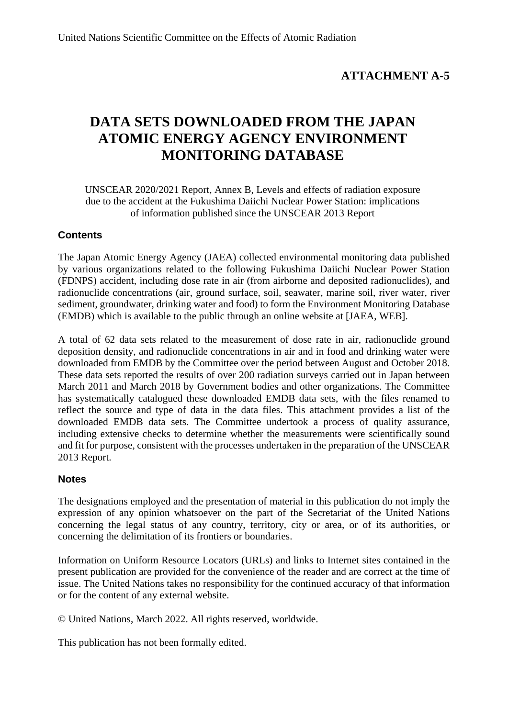## **ATTACHMENT A-5**

# **DATA SETS DOWNLOADED FROM THE JAPAN ATOMIC ENERGY AGENCY ENVIRONMENT MONITORING DATABASE**

UNSCEAR 2020/2021 Report, Annex B, Levels and effects of radiation exposure due to the accident at the Fukushima Daiichi Nuclear Power Station: implications of information published since the UNSCEAR 2013 Report

### **Contents**

The Japan Atomic Energy Agency (JAEA) collected environmental monitoring data published by various organizations related to the following Fukushima Daiichi Nuclear Power Station (FDNPS) accident, including dose rate in air (from airborne and deposited radionuclides), and radionuclide concentrations (air, ground surface, soil, seawater, marine soil, river water, river sediment, groundwater, drinking water and food) to form the Environment Monitoring Database (EMDB) which is available to the public through an online website at [JAEA, WEB].

A total of 62 data sets related to the measurement of dose rate in air, radionuclide ground deposition density, and radionuclide concentrations in air and in food and drinking water were downloaded from EMDB by the Committee over the period between August and October 2018. These data sets reported the results of over 200 radiation surveys carried out in Japan between March 2011 and March 2018 by Government bodies and other organizations. The Committee has systematically catalogued these downloaded EMDB data sets, with the files renamed to reflect the source and type of data in the data files. This attachment provides a list of the downloaded EMDB data sets. The Committee undertook a process of quality assurance, including extensive checks to determine whether the measurements were scientifically sound and fit for purpose, consistent with the processes undertaken in the preparation of the UNSCEAR 2013 Report.

#### **Notes**

The designations employed and the presentation of material in this publication do not imply the expression of any opinion whatsoever on the part of the Secretariat of the United Nations concerning the legal status of any country, territory, city or area, or of its authorities, or concerning the delimitation of its frontiers or boundaries.

Information on Uniform Resource Locators (URLs) and links to Internet sites contained in the present publication are provided for the convenience of the reader and are correct at the time of issue. The United Nations takes no responsibility for the continued accuracy of that information or for the content of any external website.

© United Nations, March 2022. All rights reserved, worldwide.

This publication has not been formally edited.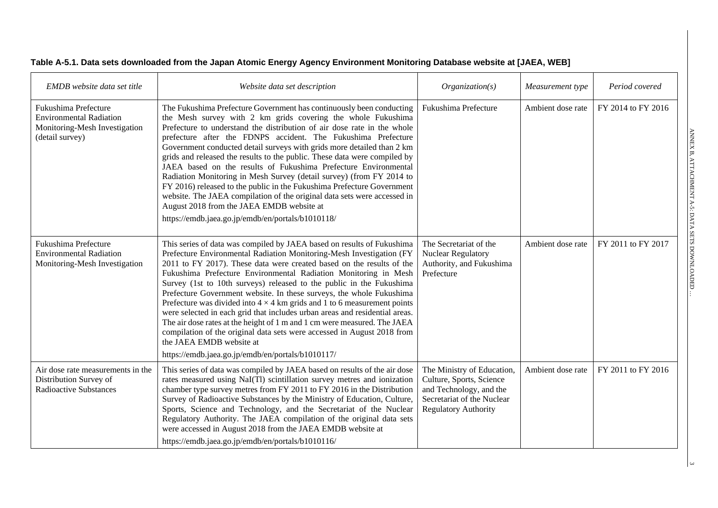| Table A-5.1. Data sets downloaded from the Japan Atomic Energy Agency Environment Monitoring Database website at [JAEA, WEB] |  |  |  |
|------------------------------------------------------------------------------------------------------------------------------|--|--|--|
|------------------------------------------------------------------------------------------------------------------------------|--|--|--|

| EMDB website data set title                                                                                | Website data set description                                                                                                                                                                                                                                                                                                                                                                                                                                                                                                                                                                                                                                                                                                                                                                                                                         | Organization(s)                                                                                                                                | Measurement type  | Period covered     |
|------------------------------------------------------------------------------------------------------------|------------------------------------------------------------------------------------------------------------------------------------------------------------------------------------------------------------------------------------------------------------------------------------------------------------------------------------------------------------------------------------------------------------------------------------------------------------------------------------------------------------------------------------------------------------------------------------------------------------------------------------------------------------------------------------------------------------------------------------------------------------------------------------------------------------------------------------------------------|------------------------------------------------------------------------------------------------------------------------------------------------|-------------------|--------------------|
| Fukushima Prefecture<br><b>Environmental Radiation</b><br>Monitoring-Mesh Investigation<br>(detail survey) | The Fukushima Prefecture Government has continuously been conducting<br>the Mesh survey with 2 km grids covering the whole Fukushima<br>Prefecture to understand the distribution of air dose rate in the whole<br>prefecture after the FDNPS accident. The Fukushima Prefecture<br>Government conducted detail surveys with grids more detailed than 2 km<br>grids and released the results to the public. These data were compiled by<br>JAEA based on the results of Fukushima Prefecture Environmental<br>Radiation Monitoring in Mesh Survey (detail survey) (from FY 2014 to<br>FY 2016) released to the public in the Fukushima Prefecture Government<br>website. The JAEA compilation of the original data sets were accessed in<br>August 2018 from the JAEA EMDB website at<br>https://emdb.jaea.go.jp/emdb/en/portals/b1010118/           | Fukushima Prefecture                                                                                                                           | Ambient dose rate | FY 2014 to FY 2016 |
| Fukushima Prefecture<br><b>Environmental Radiation</b><br>Monitoring-Mesh Investigation                    | This series of data was compiled by JAEA based on results of Fukushima<br>Prefecture Environmental Radiation Monitoring-Mesh Investigation (FY<br>2011 to FY 2017). These data were created based on the results of the<br>Fukushima Prefecture Environmental Radiation Monitoring in Mesh<br>Survey (1st to 10th surveys) released to the public in the Fukushima<br>Prefecture Government website. In these surveys, the whole Fukushima<br>Prefecture was divided into $4 \times 4$ km grids and 1 to 6 measurement points<br>were selected in each grid that includes urban areas and residential areas.<br>The air dose rates at the height of 1 m and 1 cm were measured. The JAEA<br>compilation of the original data sets were accessed in August 2018 from<br>the JAEA EMDB website at<br>https://emdb.jaea.go.jp/emdb/en/portals/b1010117/ | The Secretariat of the<br>Nuclear Regulatory<br>Authority, and Fukushima<br>Prefecture                                                         | Ambient dose rate | FY 2011 to FY 2017 |
| Air dose rate measurements in the<br>Distribution Survey of<br><b>Radioactive Substances</b>               | This series of data was compiled by JAEA based on results of the air dose<br>rates measured using NaI(Tl) scintillation survey metres and ionization<br>chamber type survey metres from FY 2011 to FY 2016 in the Distribution<br>Survey of Radioactive Substances by the Ministry of Education, Culture,<br>Sports, Science and Technology, and the Secretariat of the Nuclear<br>Regulatory Authority. The JAEA compilation of the original data sets<br>were accessed in August 2018 from the JAEA EMDB website at<br>https://emdb.jaea.go.jp/emdb/en/portals/b1010116/                                                                                                                                                                                                                                                                           | The Ministry of Education,<br>Culture, Sports, Science<br>and Technology, and the<br>Secretariat of the Nuclear<br><b>Regulatory Authority</b> | Ambient dose rate | FY 2011 to FY 2016 |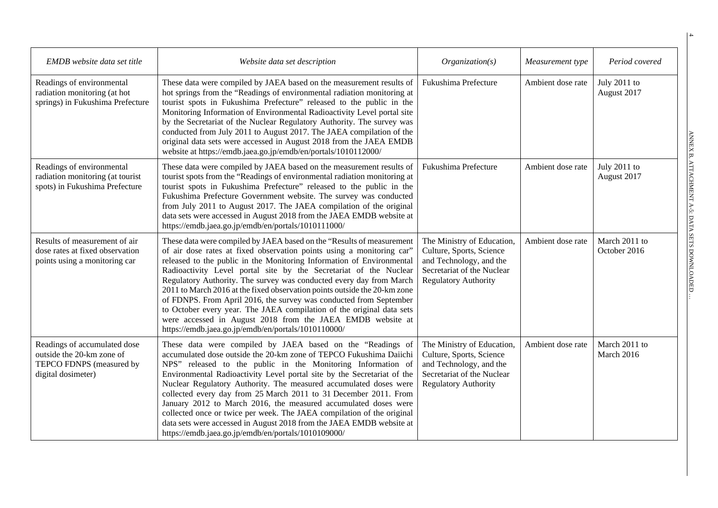| EMDB website data set title                                                                                 | Website data set description                                                                                                                                                                                                                                                                                                                                                                                                                                                                                                                                                                                                                                                                                         | Organization(s)                                                                                                                                | Measurement type  | Period covered                |
|-------------------------------------------------------------------------------------------------------------|----------------------------------------------------------------------------------------------------------------------------------------------------------------------------------------------------------------------------------------------------------------------------------------------------------------------------------------------------------------------------------------------------------------------------------------------------------------------------------------------------------------------------------------------------------------------------------------------------------------------------------------------------------------------------------------------------------------------|------------------------------------------------------------------------------------------------------------------------------------------------|-------------------|-------------------------------|
| Readings of environmental<br>radiation monitoring (at hot<br>springs) in Fukushima Prefecture               | These data were compiled by JAEA based on the measurement results of<br>hot springs from the "Readings of environmental radiation monitoring at<br>tourist spots in Fukushima Prefecture" released to the public in the<br>Monitoring Information of Environmental Radioactivity Level portal site<br>by the Secretariat of the Nuclear Regulatory Authority. The survey was<br>conducted from July 2011 to August 2017. The JAEA compilation of the<br>original data sets were accessed in August 2018 from the JAEA EMDB<br>website at https://emdb.jaea.go.jp/emdb/en/portals/1010112000/                                                                                                                         | Fukushima Prefecture                                                                                                                           | Ambient dose rate | July 2011 to<br>August 2017   |
| Readings of environmental<br>radiation monitoring (at tourist<br>spots) in Fukushima Prefecture             | These data were compiled by JAEA based on the measurement results of<br>tourist spots from the "Readings of environmental radiation monitoring at<br>tourist spots in Fukushima Prefecture" released to the public in the<br>Fukushima Prefecture Government website. The survey was conducted<br>from July 2011 to August 2017. The JAEA compilation of the original<br>data sets were accessed in August 2018 from the JAEA EMDB website at<br>https://emdb.jaea.go.jp/emdb/en/portals/1010111000/                                                                                                                                                                                                                 | Fukushima Prefecture                                                                                                                           | Ambient dose rate | July 2011 to<br>August 2017   |
| Results of measurement of air<br>dose rates at fixed observation<br>points using a monitoring car           | These data were compiled by JAEA based on the "Results of measurement<br>of air dose rates at fixed observation points using a monitoring car"<br>released to the public in the Monitoring Information of Environmental<br>Radioactivity Level portal site by the Secretariat of the Nuclear<br>Regulatory Authority. The survey was conducted every day from March<br>2011 to March 2016 at the fixed observation points outside the 20-km zone<br>of FDNPS. From April 2016, the survey was conducted from September<br>to October every year. The JAEA compilation of the original data sets<br>were accessed in August 2018 from the JAEA EMDB website at<br>https://emdb.jaea.go.jp/emdb/en/portals/1010110000/ | The Ministry of Education,<br>Culture, Sports, Science<br>and Technology, and the<br>Secretariat of the Nuclear<br><b>Regulatory Authority</b> | Ambient dose rate | March 2011 to<br>October 2016 |
| Readings of accumulated dose<br>outside the 20-km zone of<br>TEPCO FDNPS (measured by<br>digital dosimeter) | These data were compiled by JAEA based on the "Readings of<br>accumulated dose outside the 20-km zone of TEPCO Fukushima Daiichi<br>NPS" released to the public in the Monitoring Information of<br>Environmental Radioactivity Level portal site by the Secretariat of the<br>Nuclear Regulatory Authority. The measured accumulated doses were<br>collected every day from 25 March 2011 to 31 December 2011. From<br>January 2012 to March 2016, the measured accumulated doses were<br>collected once or twice per week. The JAEA compilation of the original<br>data sets were accessed in August 2018 from the JAEA EMDB website at<br>https://emdb.jaea.go.jp/emdb/en/portals/1010109000/                     | The Ministry of Education,<br>Culture, Sports, Science<br>and Technology, and the<br>Secretariat of the Nuclear<br><b>Regulatory Authority</b> | Ambient dose rate | March 2011 to<br>March 2016   |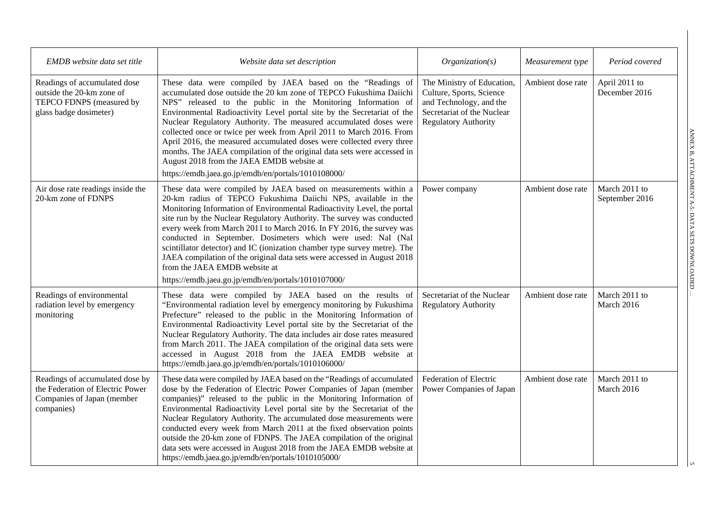| EMDB website data set title                                                                                     | Website data set description                                                                                                                                                                                                                                                                                                                                                                                                                                                                                                                                                                                                                                                     | Organization(s)                                                                                                                                | Measurement type  | Period covered                  |
|-----------------------------------------------------------------------------------------------------------------|----------------------------------------------------------------------------------------------------------------------------------------------------------------------------------------------------------------------------------------------------------------------------------------------------------------------------------------------------------------------------------------------------------------------------------------------------------------------------------------------------------------------------------------------------------------------------------------------------------------------------------------------------------------------------------|------------------------------------------------------------------------------------------------------------------------------------------------|-------------------|---------------------------------|
| Readings of accumulated dose<br>outside the 20-km zone of<br>TEPCO FDNPS (measured by<br>glass badge dosimeter) | These data were compiled by JAEA based on the "Readings of<br>accumulated dose outside the 20 km zone of TEPCO Fukushima Daiichi<br>NPS" released to the public in the Monitoring Information of<br>Environmental Radioactivity Level portal site by the Secretariat of the<br>Nuclear Regulatory Authority. The measured accumulated doses were<br>collected once or twice per week from April 2011 to March 2016. From<br>April 2016, the measured accumulated doses were collected every three<br>months. The JAEA compilation of the original data sets were accessed in<br>August 2018 from the JAEA EMDB website at<br>https://emdb.jaea.go.jp/emdb/en/portals/1010108000/ | The Ministry of Education,<br>Culture, Sports, Science<br>and Technology, and the<br>Secretariat of the Nuclear<br><b>Regulatory Authority</b> | Ambient dose rate | April 2011 to<br>December 2016  |
| Air dose rate readings inside the<br>20-km zone of FDNPS                                                        | These data were compiled by JAEA based on measurements within a<br>20-km radius of TEPCO Fukushima Daiichi NPS, available in the<br>Monitoring Information of Environmental Radioactivity Level, the portal<br>site run by the Nuclear Regulatory Authority. The survey was conducted<br>every week from March 2011 to March 2016. In FY 2016, the survey was<br>conducted in September. Dosimeters which were used: NaI (NaI<br>scintillator detector) and IC (ionization chamber type survey metre). The<br>JAEA compilation of the original data sets were accessed in August 2018<br>from the JAEA EMDB website at<br>https://emdb.jaea.go.jp/emdb/en/portals/1010107000/    | Power company                                                                                                                                  | Ambient dose rate | March 2011 to<br>September 2016 |
| Readings of environmental<br>radiation level by emergency<br>monitoring                                         | These data were compiled by JAEA based on the results of<br>"Environmental radiation level by emergency monitoring by Fukushima<br>Prefecture" released to the public in the Monitoring Information of<br>Environmental Radioactivity Level portal site by the Secretariat of the<br>Nuclear Regulatory Authority. The data includes air dose rates measured<br>from March 2011. The JAEA compilation of the original data sets were<br>accessed in August 2018 from the JAEA EMDB website at<br>https://emdb.jaea.go.jp/emdb/en/portals/1010106000/                                                                                                                             | Secretariat of the Nuclear<br><b>Regulatory Authority</b>                                                                                      | Ambient dose rate | March 2011 to<br>March 2016     |
| Readings of accumulated dose by<br>the Federation of Electric Power<br>Companies of Japan (member<br>companies) | These data were compiled by JAEA based on the "Readings of accumulated<br>dose by the Federation of Electric Power Companies of Japan (member<br>companies)" released to the public in the Monitoring Information of<br>Environmental Radioactivity Level portal site by the Secretariat of the<br>Nuclear Regulatory Authority. The accumulated dose measurements were<br>conducted every week from March 2011 at the fixed observation points<br>outside the 20-km zone of FDNPS. The JAEA compilation of the original<br>data sets were accessed in August 2018 from the JAEA EMDB website at<br>https://emdb.jaea.go.jp/emdb/en/portals/1010105000/                          | Federation of Electric<br>Power Companies of Japan                                                                                             | Ambient dose rate | March 2011 to<br>March 2016     |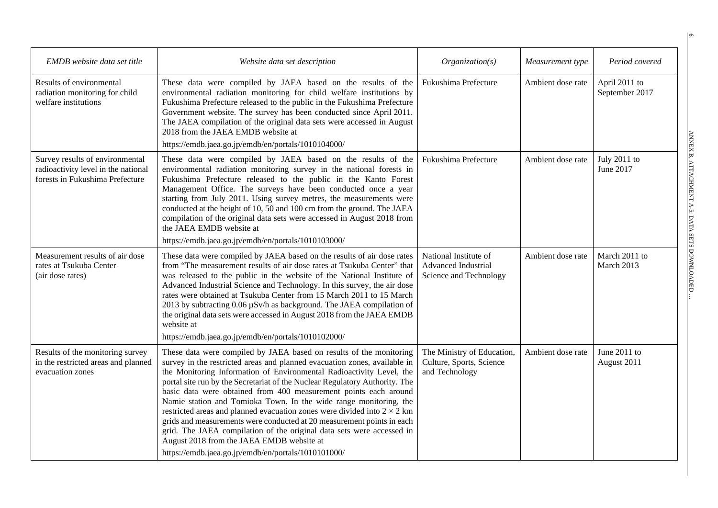| EMDB website data set title                                                                               | Website data set description                                                                                                                                                                                                                                                                                                                                                                                                                                                                                                                                                                                                                                                                                                                                                               | Organization(s)                                                               | Measurement type  | Period covered                  |
|-----------------------------------------------------------------------------------------------------------|--------------------------------------------------------------------------------------------------------------------------------------------------------------------------------------------------------------------------------------------------------------------------------------------------------------------------------------------------------------------------------------------------------------------------------------------------------------------------------------------------------------------------------------------------------------------------------------------------------------------------------------------------------------------------------------------------------------------------------------------------------------------------------------------|-------------------------------------------------------------------------------|-------------------|---------------------------------|
| Results of environmental<br>radiation monitoring for child<br>welfare institutions                        | These data were compiled by JAEA based on the results of the<br>environmental radiation monitoring for child welfare institutions by<br>Fukushima Prefecture released to the public in the Fukushima Prefecture<br>Government website. The survey has been conducted since April 2011.<br>The JAEA compilation of the original data sets were accessed in August<br>2018 from the JAEA EMDB website at                                                                                                                                                                                                                                                                                                                                                                                     | Fukushima Prefecture                                                          | Ambient dose rate | April 2011 to<br>September 2017 |
| Survey results of environmental<br>radioactivity level in the national<br>forests in Fukushima Prefecture | https://emdb.jaea.go.jp/emdb/en/portals/1010104000/<br>These data were compiled by JAEA based on the results of the<br>environmental radiation monitoring survey in the national forests in<br>Fukushima Prefecture released to the public in the Kanto Forest<br>Management Office. The surveys have been conducted once a year<br>starting from July 2011. Using survey metres, the measurements were<br>conducted at the height of 10, 50 and 100 cm from the ground. The JAEA<br>compilation of the original data sets were accessed in August 2018 from<br>the JAEA EMDB website at<br>https://emdb.jaea.go.jp/emdb/en/portals/1010103000/                                                                                                                                            | Fukushima Prefecture                                                          | Ambient dose rate | July 2011 to<br>June 2017       |
| Measurement results of air dose<br>rates at Tsukuba Center<br>(air dose rates)                            | These data were compiled by JAEA based on the results of air dose rates<br>from "The measurement results of air dose rates at Tsukuba Center" that<br>was released to the public in the website of the National Institute of<br>Advanced Industrial Science and Technology. In this survey, the air dose<br>rates were obtained at Tsukuba Center from 15 March 2011 to 15 March<br>2013 by subtracting 0.06 µSv/h as background. The JAEA compilation of<br>the original data sets were accessed in August 2018 from the JAEA EMDB<br>website at<br>https://emdb.jaea.go.jp/emdb/en/portals/1010102000/                                                                                                                                                                                   | National Institute of<br><b>Advanced Industrial</b><br>Science and Technology | Ambient dose rate | March 2011 to<br>March 2013     |
| Results of the monitoring survey<br>in the restricted areas and planned<br>evacuation zones               | These data were compiled by JAEA based on results of the monitoring<br>survey in the restricted areas and planned evacuation zones, available in<br>the Monitoring Information of Environmental Radioactivity Level, the<br>portal site run by the Secretariat of the Nuclear Regulatory Authority. The<br>basic data were obtained from 400 measurement points each around<br>Namie station and Tomioka Town. In the wide range monitoring, the<br>restricted areas and planned evacuation zones were divided into $2 \times 2$ km<br>grids and measurements were conducted at 20 measurement points in each<br>grid. The JAEA compilation of the original data sets were accessed in<br>August 2018 from the JAEA EMDB website at<br>https://emdb.jaea.go.jp/emdb/en/portals/1010101000/ | The Ministry of Education,<br>Culture, Sports, Science<br>and Technology      | Ambient dose rate | June 2011 to<br>August 2011     |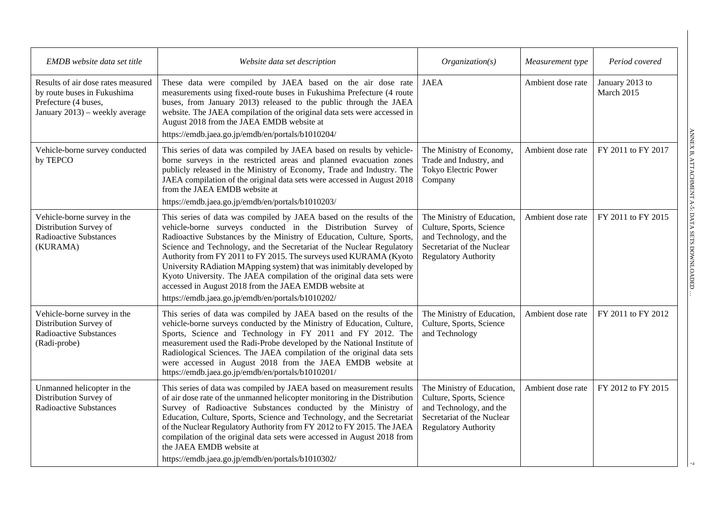| EMDB website data set title                                                                                                 | Website data set description                                                                                                                                                                                                                                                                                                                                                                                                                                                                                                                                                                                                 | Organization(s)                                                                                                                                | Measurement type  | Period covered                |
|-----------------------------------------------------------------------------------------------------------------------------|------------------------------------------------------------------------------------------------------------------------------------------------------------------------------------------------------------------------------------------------------------------------------------------------------------------------------------------------------------------------------------------------------------------------------------------------------------------------------------------------------------------------------------------------------------------------------------------------------------------------------|------------------------------------------------------------------------------------------------------------------------------------------------|-------------------|-------------------------------|
| Results of air dose rates measured<br>by route buses in Fukushima<br>Prefecture (4 buses,<br>January 2013) – weekly average | These data were compiled by JAEA based on the air dose rate<br>measurements using fixed-route buses in Fukushima Prefecture (4 route<br>buses, from January 2013) released to the public through the JAEA<br>website. The JAEA compilation of the original data sets were accessed in<br>August 2018 from the JAEA EMDB website at<br>https://emdb.jaea.go.jp/emdb/en/portals/b1010204/                                                                                                                                                                                                                                      | <b>JAEA</b>                                                                                                                                    | Ambient dose rate | January 2013 to<br>March 2015 |
| Vehicle-borne survey conducted<br>by TEPCO                                                                                  | This series of data was compiled by JAEA based on results by vehicle-<br>borne surveys in the restricted areas and planned evacuation zones<br>publicly released in the Ministry of Economy, Trade and Industry. The<br>JAEA compilation of the original data sets were accessed in August 2018<br>from the JAEA EMDB website at<br>https://emdb.jaea.go.jp/emdb/en/portals/b1010203/                                                                                                                                                                                                                                        | The Ministry of Economy,<br>Trade and Industry, and<br>Tokyo Electric Power<br>Company                                                         | Ambient dose rate | FY 2011 to FY 2017            |
| Vehicle-borne survey in the<br>Distribution Survey of<br><b>Radioactive Substances</b><br>(KURAMA)                          | This series of data was compiled by JAEA based on the results of the<br>vehicle-borne surveys conducted in the Distribution Survey of<br>Radioactive Substances by the Ministry of Education, Culture, Sports,<br>Science and Technology, and the Secretariat of the Nuclear Regulatory<br>Authority from FY 2011 to FY 2015. The surveys used KURAMA (Kyoto<br>University RAdiation MApping system) that was inimitably developed by<br>Kyoto University. The JAEA compilation of the original data sets were<br>accessed in August 2018 from the JAEA EMDB website at<br>https://emdb.jaea.go.jp/emdb/en/portals/b1010202/ | The Ministry of Education,<br>Culture, Sports, Science<br>and Technology, and the<br>Secretariat of the Nuclear<br><b>Regulatory Authority</b> | Ambient dose rate | FY 2011 to FY 2015            |
| Vehicle-borne survey in the<br>Distribution Survey of<br><b>Radioactive Substances</b><br>(Radi-probe)                      | This series of data was compiled by JAEA based on the results of the<br>vehicle-borne surveys conducted by the Ministry of Education, Culture,<br>Sports, Science and Technology in FY 2011 and FY 2012. The<br>measurement used the Radi-Probe developed by the National Institute of<br>Radiological Sciences. The JAEA compilation of the original data sets<br>were accessed in August 2018 from the JAEA EMDB website at<br>https://emdb.jaea.go.jp/emdb/en/portals/b1010201/                                                                                                                                           | The Ministry of Education,<br>Culture, Sports, Science<br>and Technology                                                                       | Ambient dose rate | FY 2011 to FY 2012            |
| Unmanned helicopter in the<br>Distribution Survey of<br><b>Radioactive Substances</b>                                       | This series of data was compiled by JAEA based on measurement results<br>of air dose rate of the unmanned helicopter monitoring in the Distribution<br>Survey of Radioactive Substances conducted by the Ministry of<br>Education, Culture, Sports, Science and Technology, and the Secretariat<br>of the Nuclear Regulatory Authority from FY 2012 to FY 2015. The JAEA<br>compilation of the original data sets were accessed in August 2018 from<br>the JAEA EMDB website at<br>https://emdb.jaea.go.jp/emdb/en/portals/b1010302/                                                                                         | The Ministry of Education,<br>Culture, Sports, Science<br>and Technology, and the<br>Secretariat of the Nuclear<br><b>Regulatory Authority</b> | Ambient dose rate | FY 2012 to FY 2015            |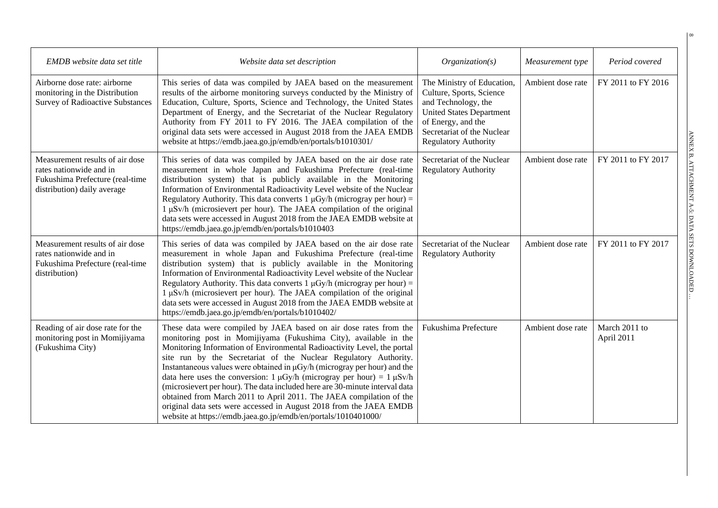| EMDB website data set title                                                                                                  | Website data set description                                                                                                                                                                                                                                                                                                                                                                                                                                                                                                                                                                                                                                                                                                                      | Organization(s)                                                                                                                                                                                     | Measurement type  | Period covered              |
|------------------------------------------------------------------------------------------------------------------------------|---------------------------------------------------------------------------------------------------------------------------------------------------------------------------------------------------------------------------------------------------------------------------------------------------------------------------------------------------------------------------------------------------------------------------------------------------------------------------------------------------------------------------------------------------------------------------------------------------------------------------------------------------------------------------------------------------------------------------------------------------|-----------------------------------------------------------------------------------------------------------------------------------------------------------------------------------------------------|-------------------|-----------------------------|
| Airborne dose rate: airborne<br>monitoring in the Distribution<br><b>Survey of Radioactive Substances</b>                    | This series of data was compiled by JAEA based on the measurement<br>results of the airborne monitoring surveys conducted by the Ministry of<br>Education, Culture, Sports, Science and Technology, the United States<br>Department of Energy, and the Secretariat of the Nuclear Regulatory<br>Authority from FY 2011 to FY 2016. The JAEA compilation of the<br>original data sets were accessed in August 2018 from the JAEA EMDB<br>website at https://emdb.jaea.go.jp/emdb/en/portals/b1010301/                                                                                                                                                                                                                                              | The Ministry of Education,<br>Culture, Sports, Science<br>and Technology, the<br><b>United States Department</b><br>of Energy, and the<br>Secretariat of the Nuclear<br><b>Regulatory Authority</b> | Ambient dose rate | FY 2011 to FY 2016          |
| Measurement results of air dose<br>rates nationwide and in<br>Fukushima Prefecture (real-time<br>distribution) daily average | This series of data was compiled by JAEA based on the air dose rate<br>measurement in whole Japan and Fukushima Prefecture (real-time<br>distribution system) that is publicly available in the Monitoring<br>Information of Environmental Radioactivity Level website of the Nuclear<br>Regulatory Authority. This data converts $1 \mu$ Gy/h (microgray per hour) =<br>1 µSv/h (microsievert per hour). The JAEA compilation of the original<br>data sets were accessed in August 2018 from the JAEA EMDB website at<br>https://emdb.jaea.go.jp/emdb/en/portals/b1010403                                                                                                                                                                        | Secretariat of the Nuclear<br><b>Regulatory Authority</b>                                                                                                                                           | Ambient dose rate | FY 2011 to FY 2017          |
| Measurement results of air dose<br>rates nationwide and in<br>Fukushima Prefecture (real-time<br>distribution)               | This series of data was compiled by JAEA based on the air dose rate<br>measurement in whole Japan and Fukushima Prefecture (real-time<br>distribution system) that is publicly available in the Monitoring<br>Information of Environmental Radioactivity Level website of the Nuclear<br>Regulatory Authority. This data converts $1 \mu Gy/h$ (microgray per hour) =<br>1 µSv/h (microsievert per hour). The JAEA compilation of the original<br>data sets were accessed in August 2018 from the JAEA EMDB website at<br>https://emdb.jaea.go.jp/emdb/en/portals/b1010402/                                                                                                                                                                       | Secretariat of the Nuclear<br><b>Regulatory Authority</b>                                                                                                                                           | Ambient dose rate | FY 2011 to FY 2017          |
| Reading of air dose rate for the<br>monitoring post in Momijiyama<br>(Fukushima City)                                        | These data were compiled by JAEA based on air dose rates from the<br>monitoring post in Momijiyama (Fukushima City), available in the<br>Monitoring Information of Environmental Radioactivity Level, the portal<br>site run by the Secretariat of the Nuclear Regulatory Authority.<br>Instantaneous values were obtained in µGy/h (microgray per hour) and the<br>data here uses the conversion: $1 \mu Gy/h$ (microgray per hour) = $1 \mu Sv/h$<br>(microsievert per hour). The data included here are 30-minute interval data<br>obtained from March 2011 to April 2011. The JAEA compilation of the<br>original data sets were accessed in August 2018 from the JAEA EMDB<br>website at https://emdb.jaea.go.jp/emdb/en/portals/1010401000/ | Fukushima Prefecture                                                                                                                                                                                | Ambient dose rate | March 2011 to<br>April 2011 |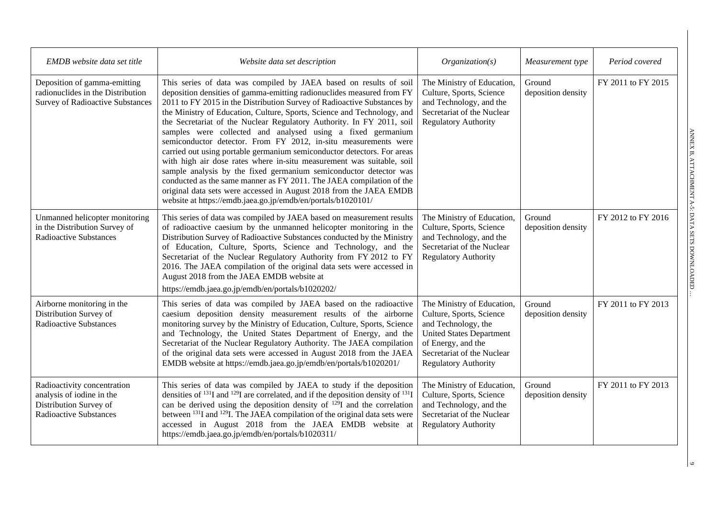| EMDB website data set title                                                                                         | Website data set description                                                                                                                                                                                                                                                                                                                                                                                                                                                                                                                                                                                                                                                                                                                                                                                                                                                                                                                       | Organization(s)                                                                                                                                                                                     | Measurement type             | Period covered     |
|---------------------------------------------------------------------------------------------------------------------|----------------------------------------------------------------------------------------------------------------------------------------------------------------------------------------------------------------------------------------------------------------------------------------------------------------------------------------------------------------------------------------------------------------------------------------------------------------------------------------------------------------------------------------------------------------------------------------------------------------------------------------------------------------------------------------------------------------------------------------------------------------------------------------------------------------------------------------------------------------------------------------------------------------------------------------------------|-----------------------------------------------------------------------------------------------------------------------------------------------------------------------------------------------------|------------------------------|--------------------|
| Deposition of gamma-emitting<br>radionuclides in the Distribution<br><b>Survey of Radioactive Substances</b>        | This series of data was compiled by JAEA based on results of soil<br>deposition densities of gamma-emitting radionuclides measured from FY<br>2011 to FY 2015 in the Distribution Survey of Radioactive Substances by<br>the Ministry of Education, Culture, Sports, Science and Technology, and<br>the Secretariat of the Nuclear Regulatory Authority. In FY 2011, soil<br>samples were collected and analysed using a fixed germanium<br>semiconductor detector. From FY 2012, in-situ measurements were<br>carried out using portable germanium semiconductor detectors. For areas<br>with high air dose rates where in-situ measurement was suitable, soil<br>sample analysis by the fixed germanium semiconductor detector was<br>conducted as the same manner as FY 2011. The JAEA compilation of the<br>original data sets were accessed in August 2018 from the JAEA EMDB<br>website at https://emdb.jaea.go.jp/emdb/en/portals/b1020101/ | The Ministry of Education,<br>Culture, Sports, Science<br>and Technology, and the<br>Secretariat of the Nuclear<br><b>Regulatory Authority</b>                                                      | Ground<br>deposition density | FY 2011 to FY 2015 |
| Unmanned helicopter monitoring<br>in the Distribution Survey of<br><b>Radioactive Substances</b>                    | This series of data was compiled by JAEA based on measurement results<br>of radioactive caesium by the unmanned helicopter monitoring in the<br>Distribution Survey of Radioactive Substances conducted by the Ministry<br>of Education, Culture, Sports, Science and Technology, and the<br>Secretariat of the Nuclear Regulatory Authority from FY 2012 to FY<br>2016. The JAEA compilation of the original data sets were accessed in<br>August 2018 from the JAEA EMDB website at<br>https://emdb.jaea.go.jp/emdb/en/portals/b1020202/                                                                                                                                                                                                                                                                                                                                                                                                         | The Ministry of Education,<br>Culture, Sports, Science<br>and Technology, and the<br>Secretariat of the Nuclear<br><b>Regulatory Authority</b>                                                      | Ground<br>deposition density | FY 2012 to FY 2016 |
| Airborne monitoring in the<br>Distribution Survey of<br><b>Radioactive Substances</b>                               | This series of data was compiled by JAEA based on the radioactive<br>caesium deposition density measurement results of the airborne<br>monitoring survey by the Ministry of Education, Culture, Sports, Science<br>and Technology, the United States Department of Energy, and the<br>Secretariat of the Nuclear Regulatory Authority. The JAEA compilation<br>of the original data sets were accessed in August 2018 from the JAEA<br>EMDB website at https://emdb.jaea.go.jp/emdb/en/portals/b1020201/                                                                                                                                                                                                                                                                                                                                                                                                                                           | The Ministry of Education,<br>Culture, Sports, Science<br>and Technology, the<br><b>United States Department</b><br>of Energy, and the<br>Secretariat of the Nuclear<br><b>Regulatory Authority</b> | Ground<br>deposition density | FY 2011 to FY 2013 |
| Radioactivity concentration<br>analysis of iodine in the<br>Distribution Survey of<br><b>Radioactive Substances</b> | This series of data was compiled by JAEA to study if the deposition<br>densities of $^{131}I$ and $^{129}I$ are correlated, and if the deposition density of $^{131}I$<br>can be derived using the deposition density of $12\overline{9}I$ and the correlation<br>between <sup>131</sup> I and <sup>129</sup> I. The JAEA compilation of the original data sets were<br>accessed in August 2018 from the JAEA EMDB website at<br>https://emdb.jaea.go.jp/emdb/en/portals/b1020311/                                                                                                                                                                                                                                                                                                                                                                                                                                                                 | The Ministry of Education,<br>Culture, Sports, Science<br>and Technology, and the<br>Secretariat of the Nuclear<br><b>Regulatory Authority</b>                                                      | Ground<br>deposition density | FY 2011 to FY 2013 |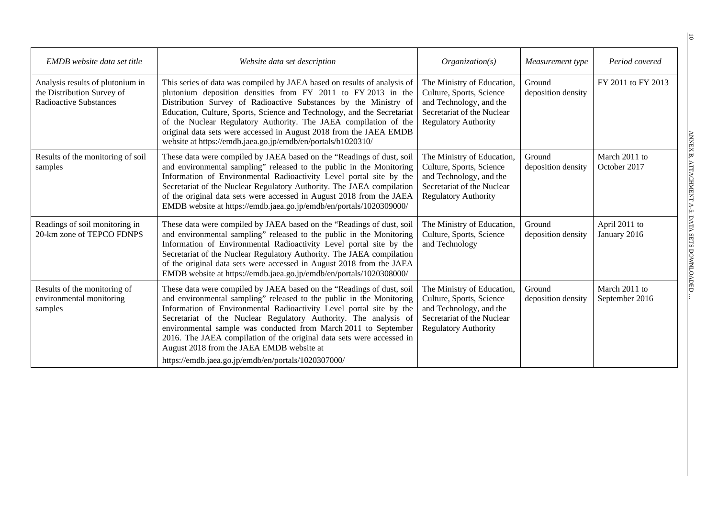| <b>EMDB</b> website data set title                                                              | Website data set description                                                                                                                                                                                                                                                                                                                                                                                                                                                                                                             | Organization(s)                                                                                                                                | Measurement type             | Period covered                  |
|-------------------------------------------------------------------------------------------------|------------------------------------------------------------------------------------------------------------------------------------------------------------------------------------------------------------------------------------------------------------------------------------------------------------------------------------------------------------------------------------------------------------------------------------------------------------------------------------------------------------------------------------------|------------------------------------------------------------------------------------------------------------------------------------------------|------------------------------|---------------------------------|
| Analysis results of plutonium in<br>the Distribution Survey of<br><b>Radioactive Substances</b> | This series of data was compiled by JAEA based on results of analysis of<br>plutonium deposition densities from FY 2011 to FY 2013 in the<br>Distribution Survey of Radioactive Substances by the Ministry of<br>Education, Culture, Sports, Science and Technology, and the Secretariat<br>of the Nuclear Regulatory Authority. The JAEA compilation of the<br>original data sets were accessed in August 2018 from the JAEA EMDB<br>website at https://emdb.jaea.go.jp/emdb/en/portals/b1020310/                                       | The Ministry of Education,<br>Culture, Sports, Science<br>and Technology, and the<br>Secretariat of the Nuclear<br><b>Regulatory Authority</b> | Ground<br>deposition density | FY 2011 to FY 2013              |
| Results of the monitoring of soil<br>samples                                                    | These data were compiled by JAEA based on the "Readings of dust, soil<br>and environmental sampling" released to the public in the Monitoring<br>Information of Environmental Radioactivity Level portal site by the<br>Secretariat of the Nuclear Regulatory Authority. The JAEA compilation<br>of the original data sets were accessed in August 2018 from the JAEA<br>EMDB website at https://emdb.jaea.go.jp/emdb/en/portals/1020309000/                                                                                             | The Ministry of Education,<br>Culture, Sports, Science<br>and Technology, and the<br>Secretariat of the Nuclear<br><b>Regulatory Authority</b> | Ground<br>deposition density | March 2011 to<br>October 2017   |
| Readings of soil monitoring in<br>20-km zone of TEPCO FDNPS                                     | These data were compiled by JAEA based on the "Readings of dust, soil<br>and environmental sampling" released to the public in the Monitoring<br>Information of Environmental Radioactivity Level portal site by the<br>Secretariat of the Nuclear Regulatory Authority. The JAEA compilation<br>of the original data sets were accessed in August 2018 from the JAEA<br>EMDB website at https://emdb.jaea.go.jp/emdb/en/portals/1020308000/                                                                                             | The Ministry of Education,<br>Culture, Sports, Science<br>and Technology                                                                       | Ground<br>deposition density | April 2011 to<br>January 2016   |
| Results of the monitoring of<br>environmental monitoring<br>samples                             | These data were compiled by JAEA based on the "Readings of dust, soil<br>and environmental sampling" released to the public in the Monitoring<br>Information of Environmental Radioactivity Level portal site by the<br>Secretariat of the Nuclear Regulatory Authority. The analysis of<br>environmental sample was conducted from March 2011 to September<br>2016. The JAEA compilation of the original data sets were accessed in<br>August 2018 from the JAEA EMDB website at<br>https://emdb.jaea.go.jp/emdb/en/portals/1020307000/ | The Ministry of Education,<br>Culture, Sports, Science<br>and Technology, and the<br>Secretariat of the Nuclear<br><b>Regulatory Authority</b> | Ground<br>deposition density | March 2011 to<br>September 2016 |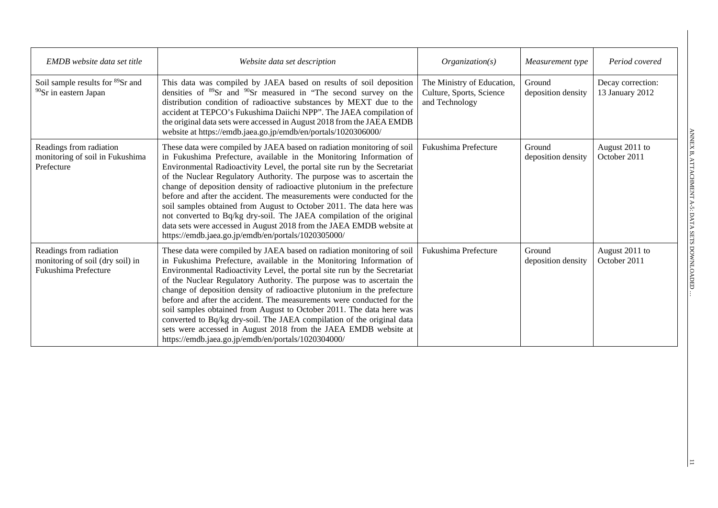| <b>EMDB</b> website data set title                                                  | Website data set description                                                                                                                                                                                                                                                                                                                                                                                                                                                                                                                                                                                                                                                                                                             | Organization(s)                                                          | Measurement type             | Period covered                       |
|-------------------------------------------------------------------------------------|------------------------------------------------------------------------------------------------------------------------------------------------------------------------------------------------------------------------------------------------------------------------------------------------------------------------------------------------------------------------------------------------------------------------------------------------------------------------------------------------------------------------------------------------------------------------------------------------------------------------------------------------------------------------------------------------------------------------------------------|--------------------------------------------------------------------------|------------------------------|--------------------------------------|
| Soil sample results for <sup>89</sup> Sr and<br><sup>90</sup> Sr in eastern Japan   | This data was compiled by JAEA based on results of soil deposition<br>densities of <sup>89</sup> Sr and <sup>90</sup> Sr measured in "The second survey on the<br>distribution condition of radioactive substances by MEXT due to the<br>accident at TEPCO's Fukushima Daiichi NPP". The JAEA compilation of<br>the original data sets were accessed in August 2018 from the JAEA EMDB<br>website at https://emdb.jaea.go.jp/emdb/en/portals/1020306000/                                                                                                                                                                                                                                                                                 | The Ministry of Education,<br>Culture, Sports, Science<br>and Technology | Ground<br>deposition density | Decay correction:<br>13 January 2012 |
| Readings from radiation<br>monitoring of soil in Fukushima<br>Prefecture            | These data were compiled by JAEA based on radiation monitoring of soil<br>in Fukushima Prefecture, available in the Monitoring Information of<br>Environmental Radioactivity Level, the portal site run by the Secretariat<br>of the Nuclear Regulatory Authority. The purpose was to ascertain the<br>change of deposition density of radioactive plutonium in the prefecture<br>before and after the accident. The measurements were conducted for the<br>soil samples obtained from August to October 2011. The data here was<br>not converted to Bq/kg dry-soil. The JAEA compilation of the original<br>data sets were accessed in August 2018 from the JAEA EMDB website at<br>https://emdb.jaea.go.jp/emdb/en/portals/1020305000/ | Fukushima Prefecture                                                     | Ground<br>deposition density | August 2011 to<br>October 2011       |
| Readings from radiation<br>monitoring of soil (dry soil) in<br>Fukushima Prefecture | These data were compiled by JAEA based on radiation monitoring of soil<br>in Fukushima Prefecture, available in the Monitoring Information of<br>Environmental Radioactivity Level, the portal site run by the Secretariat<br>of the Nuclear Regulatory Authority. The purpose was to ascertain the<br>change of deposition density of radioactive plutonium in the prefecture<br>before and after the accident. The measurements were conducted for the<br>soil samples obtained from August to October 2011. The data here was<br>converted to Bq/kg dry-soil. The JAEA compilation of the original data<br>sets were accessed in August 2018 from the JAEA EMDB website at<br>https://emdb.jaea.go.jp/emdb/en/portals/1020304000/     | Fukushima Prefecture                                                     | Ground<br>deposition density | August 2011 to<br>October 2011       |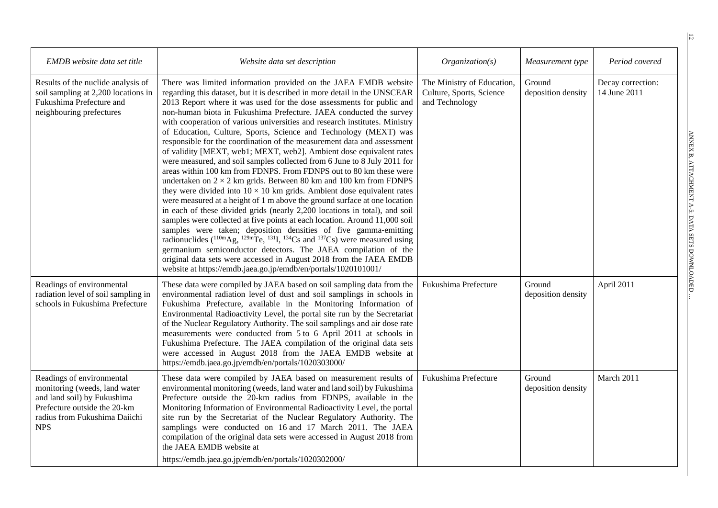| EMDB website data set title                                                                                                                                              | Website data set description                                                                                                                                                                                                                                                                                                                                                                                                                                                                                                                                                                                                                                                                                                                                                                                                                                                                                                                                                                                                                                                                                                                                                                                                                                                                                                                                                                                                                                                                                                                     | Organization(s)                                                          | Measurement type             | Period covered                    |
|--------------------------------------------------------------------------------------------------------------------------------------------------------------------------|--------------------------------------------------------------------------------------------------------------------------------------------------------------------------------------------------------------------------------------------------------------------------------------------------------------------------------------------------------------------------------------------------------------------------------------------------------------------------------------------------------------------------------------------------------------------------------------------------------------------------------------------------------------------------------------------------------------------------------------------------------------------------------------------------------------------------------------------------------------------------------------------------------------------------------------------------------------------------------------------------------------------------------------------------------------------------------------------------------------------------------------------------------------------------------------------------------------------------------------------------------------------------------------------------------------------------------------------------------------------------------------------------------------------------------------------------------------------------------------------------------------------------------------------------|--------------------------------------------------------------------------|------------------------------|-----------------------------------|
| Results of the nuclide analysis of<br>soil sampling at 2,200 locations in<br>Fukushima Prefecture and<br>neighbouring prefectures                                        | There was limited information provided on the JAEA EMDB website<br>regarding this dataset, but it is described in more detail in the UNSCEAR<br>2013 Report where it was used for the dose assessments for public and<br>non-human biota in Fukushima Prefecture. JAEA conducted the survey<br>with cooperation of various universities and research institutes. Ministry<br>of Education, Culture, Sports, Science and Technology (MEXT) was<br>responsible for the coordination of the measurement data and assessment<br>of validity [MEXT, web1; MEXT, web2]. Ambient dose equivalent rates<br>were measured, and soil samples collected from 6 June to 8 July 2011 for<br>areas within 100 km from FDNPS. From FDNPS out to 80 km these were<br>undertaken on $2 \times 2$ km grids. Between 80 km and 100 km from FDNPS<br>they were divided into $10 \times 10$ km grids. Ambient dose equivalent rates<br>were measured at a height of 1 m above the ground surface at one location<br>in each of these divided grids (nearly 2,200 locations in total), and soil<br>samples were collected at five points at each location. Around 11,000 soil<br>samples were taken; deposition densities of five gamma-emitting<br>radionuclides ( $^{110m}$ Ag, $^{129m}$ Te, $^{131}$ I, $^{134}$ Cs and $^{137}$ Cs) were measured using<br>germanium semiconductor detectors. The JAEA compilation of the<br>original data sets were accessed in August 2018 from the JAEA EMDB<br>website at https://emdb.jaea.go.jp/emdb/en/portals/1020101001/ | The Ministry of Education,<br>Culture, Sports, Science<br>and Technology | Ground<br>deposition density | Decay correction:<br>14 June 2011 |
| Readings of environmental<br>radiation level of soil sampling in<br>schools in Fukushima Prefecture                                                                      | These data were compiled by JAEA based on soil sampling data from the<br>environmental radiation level of dust and soil samplings in schools in<br>Fukushima Prefecture, available in the Monitoring Information of<br>Environmental Radioactivity Level, the portal site run by the Secretariat<br>of the Nuclear Regulatory Authority. The soil samplings and air dose rate<br>measurements were conducted from 5 to 6 April 2011 at schools in<br>Fukushima Prefecture. The JAEA compilation of the original data sets<br>were accessed in August 2018 from the JAEA EMDB website at<br>https://emdb.jaea.go.jp/emdb/en/portals/1020303000/                                                                                                                                                                                                                                                                                                                                                                                                                                                                                                                                                                                                                                                                                                                                                                                                                                                                                                   | Fukushima Prefecture                                                     | Ground<br>deposition density | April 2011                        |
| Readings of environmental<br>monitoring (weeds, land water<br>and land soil) by Fukushima<br>Prefecture outside the 20-km<br>radius from Fukushima Daiichi<br><b>NPS</b> | These data were compiled by JAEA based on measurement results of<br>environmental monitoring (weeds, land water and land soil) by Fukushima<br>Prefecture outside the 20-km radius from FDNPS, available in the<br>Monitoring Information of Environmental Radioactivity Level, the portal<br>site run by the Secretariat of the Nuclear Regulatory Authority. The<br>samplings were conducted on 16 and 17 March 2011. The JAEA<br>compilation of the original data sets were accessed in August 2018 from<br>the JAEA EMDB website at<br>https://emdb.jaea.go.jp/emdb/en/portals/1020302000/                                                                                                                                                                                                                                                                                                                                                                                                                                                                                                                                                                                                                                                                                                                                                                                                                                                                                                                                                   | Fukushima Prefecture                                                     | Ground<br>deposition density | March 2011                        |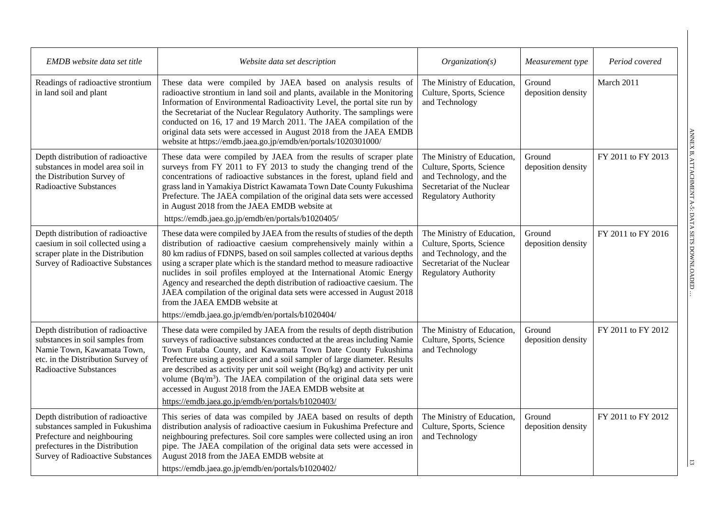| EMDB website data set title                                                                                                                                                       | Website data set description                                                                                                                                                                                                                                                                                                                                                                                                                                                                                                                                                                                                    | Organization(s)                                                                                                                                | Measurement type             | Period covered     |
|-----------------------------------------------------------------------------------------------------------------------------------------------------------------------------------|---------------------------------------------------------------------------------------------------------------------------------------------------------------------------------------------------------------------------------------------------------------------------------------------------------------------------------------------------------------------------------------------------------------------------------------------------------------------------------------------------------------------------------------------------------------------------------------------------------------------------------|------------------------------------------------------------------------------------------------------------------------------------------------|------------------------------|--------------------|
| Readings of radioactive strontium<br>in land soil and plant                                                                                                                       | These data were compiled by JAEA based on analysis results of<br>radioactive strontium in land soil and plants, available in the Monitoring<br>Information of Environmental Radioactivity Level, the portal site run by<br>the Secretariat of the Nuclear Regulatory Authority. The samplings were<br>conducted on 16, 17 and 19 March 2011. The JAEA compilation of the<br>original data sets were accessed in August 2018 from the JAEA EMDB<br>website at https://emdb.jaea.go.jp/emdb/en/portals/1020301000/                                                                                                                | The Ministry of Education,<br>Culture, Sports, Science<br>and Technology                                                                       | Ground<br>deposition density | March 2011         |
| Depth distribution of radioactive<br>substances in model area soil in<br>the Distribution Survey of<br><b>Radioactive Substances</b>                                              | These data were compiled by JAEA from the results of scraper plate<br>surveys from FY 2011 to FY 2013 to study the changing trend of the<br>concentrations of radioactive substances in the forest, upland field and<br>grass land in Yamakiya District Kawamata Town Date County Fukushima<br>Prefecture. The JAEA compilation of the original data sets were accessed<br>in August 2018 from the JAEA EMDB website at<br>https://emdb.jaea.go.jp/emdb/en/portals/b1020405/                                                                                                                                                    | The Ministry of Education,<br>Culture, Sports, Science<br>and Technology, and the<br>Secretariat of the Nuclear<br><b>Regulatory Authority</b> | Ground<br>deposition density | FY 2011 to FY 2013 |
| Depth distribution of radioactive<br>caesium in soil collected using a<br>scraper plate in the Distribution<br><b>Survey of Radioactive Substances</b>                            | These data were compiled by JAEA from the results of studies of the depth<br>distribution of radioactive caesium comprehensively mainly within a<br>80 km radius of FDNPS, based on soil samples collected at various depths<br>using a scraper plate which is the standard method to measure radioactive<br>nuclides in soil profiles employed at the International Atomic Energy<br>Agency and researched the depth distribution of radioactive caesium. The<br>JAEA compilation of the original data sets were accessed in August 2018<br>from the JAEA EMDB website at<br>https://emdb.jaea.go.jp/emdb/en/portals/b1020404/ | The Ministry of Education,<br>Culture, Sports, Science<br>and Technology, and the<br>Secretariat of the Nuclear<br><b>Regulatory Authority</b> | Ground<br>deposition density | FY 2011 to FY 2016 |
| Depth distribution of radioactive<br>substances in soil samples from<br>Namie Town, Kawamata Town,<br>etc. in the Distribution Survey of<br><b>Radioactive Substances</b>         | These data were compiled by JAEA from the results of depth distribution<br>surveys of radioactive substances conducted at the areas including Namie<br>Town Futaba County, and Kawamata Town Date County Fukushima<br>Prefecture using a geoslicer and a soil sampler of large diameter. Results<br>are described as activity per unit soil weight $(Bq/kg)$ and activity per unit<br>volume ( $Bq/m3$ ). The JAEA compilation of the original data sets were<br>accessed in August 2018 from the JAEA EMDB website at<br>https://emdb.jaea.go.jp/emdb/en/portals/b1020403/                                                     | The Ministry of Education,<br>Culture, Sports, Science<br>and Technology                                                                       | Ground<br>deposition density | FY 2011 to FY 2012 |
| Depth distribution of radioactive<br>substances sampled in Fukushima<br>Prefecture and neighbouring<br>prefectures in the Distribution<br><b>Survey of Radioactive Substances</b> | This series of data was compiled by JAEA based on results of depth<br>distribution analysis of radioactive caesium in Fukushima Prefecture and<br>neighbouring prefectures. Soil core samples were collected using an iron<br>pipe. The JAEA compilation of the original data sets were accessed in<br>August 2018 from the JAEA EMDB website at<br>https://emdb.jaea.go.jp/emdb/en/portals/b1020402/                                                                                                                                                                                                                           | The Ministry of Education,<br>Culture, Sports, Science<br>and Technology                                                                       | Ground<br>deposition density | FY 2011 to FY 2012 |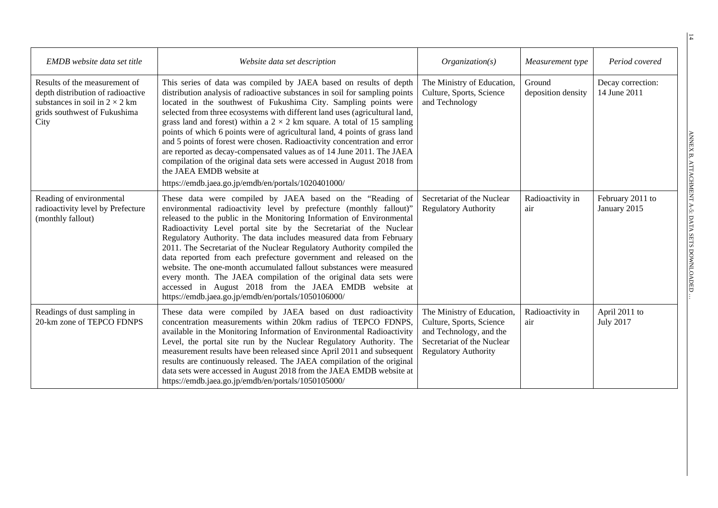| EMDB website data set title                                                                                                                         | Website data set description                                                                                                                                                                                                                                                                                                                                                                                                                                                                                                                                                                                                                                                                                                                                                             | Organization(s)                                                                                                                                | Measurement type             | Period covered                    |
|-----------------------------------------------------------------------------------------------------------------------------------------------------|------------------------------------------------------------------------------------------------------------------------------------------------------------------------------------------------------------------------------------------------------------------------------------------------------------------------------------------------------------------------------------------------------------------------------------------------------------------------------------------------------------------------------------------------------------------------------------------------------------------------------------------------------------------------------------------------------------------------------------------------------------------------------------------|------------------------------------------------------------------------------------------------------------------------------------------------|------------------------------|-----------------------------------|
| Results of the measurement of<br>depth distribution of radioactive<br>substances in soil in $2 \times 2$ km<br>grids southwest of Fukushima<br>City | This series of data was compiled by JAEA based on results of depth<br>distribution analysis of radioactive substances in soil for sampling points<br>located in the southwest of Fukushima City. Sampling points were<br>selected from three ecosystems with different land uses (agricultural land,<br>grass land and forest) within a $2 \times 2$ km square. A total of 15 sampling<br>points of which 6 points were of agricultural land, 4 points of grass land<br>and 5 points of forest were chosen. Radioactivity concentration and error<br>are reported as decay-compensated values as of 14 June 2011. The JAEA<br>compilation of the original data sets were accessed in August 2018 from<br>the JAEA EMDB website at<br>https://emdb.jaea.go.jp/emdb/en/portals/1020401000/ | The Ministry of Education,<br>Culture, Sports, Science<br>and Technology                                                                       | Ground<br>deposition density | Decay correction:<br>14 June 2011 |
| Reading of environmental<br>radioactivity level by Prefecture<br>(monthly fallout)                                                                  | These data were compiled by JAEA based on the "Reading of<br>environmental radioactivity level by prefecture (monthly fallout)"<br>released to the public in the Monitoring Information of Environmental<br>Radioactivity Level portal site by the Secretariat of the Nuclear<br>Regulatory Authority. The data includes measured data from February<br>2011. The Secretariat of the Nuclear Regulatory Authority compiled the<br>data reported from each prefecture government and released on the<br>website. The one-month accumulated fallout substances were measured<br>every month. The JAEA compilation of the original data sets were<br>accessed in August 2018 from the JAEA EMDB website at<br>https://emdb.jaea.go.jp/emdb/en/portals/1050106000/                           | Secretariat of the Nuclear<br><b>Regulatory Authority</b>                                                                                      | Radioactivity in<br>air      | February 2011 to<br>January 2015  |
| Readings of dust sampling in<br>20-km zone of TEPCO FDNPS                                                                                           | These data were compiled by JAEA based on dust radioactivity<br>concentration measurements within 20km radius of TEPCO FDNPS,<br>available in the Monitoring Information of Environmental Radioactivity<br>Level, the portal site run by the Nuclear Regulatory Authority. The<br>measurement results have been released since April 2011 and subsequent<br>results are continuously released. The JAEA compilation of the original<br>data sets were accessed in August 2018 from the JAEA EMDB website at<br>https://emdb.jaea.go.jp/emdb/en/portals/1050105000/                                                                                                                                                                                                                       | The Ministry of Education,<br>Culture, Sports, Science<br>and Technology, and the<br>Secretariat of the Nuclear<br><b>Regulatory Authority</b> | Radioactivity in<br>air      | April 2011 to<br><b>July 2017</b> |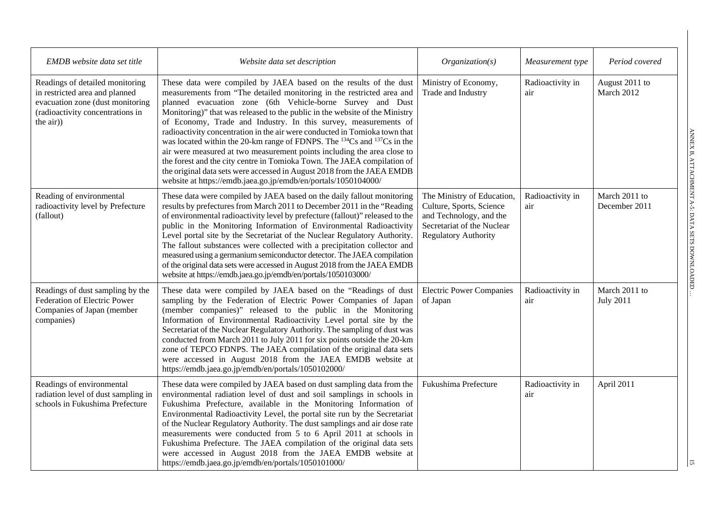| EMDB website data set title                                                                                                                            | Website data set description                                                                                                                                                                                                                                                                                                                                                                                                                                                                                                                                                                                                                                                                                                                                                                                                                  | Organization(s)                                                                                                                                | Measurement type        | Period covered                    |
|--------------------------------------------------------------------------------------------------------------------------------------------------------|-----------------------------------------------------------------------------------------------------------------------------------------------------------------------------------------------------------------------------------------------------------------------------------------------------------------------------------------------------------------------------------------------------------------------------------------------------------------------------------------------------------------------------------------------------------------------------------------------------------------------------------------------------------------------------------------------------------------------------------------------------------------------------------------------------------------------------------------------|------------------------------------------------------------------------------------------------------------------------------------------------|-------------------------|-----------------------------------|
| Readings of detailed monitoring<br>in restricted area and planned<br>evacuation zone (dust monitoring<br>(radioactivity concentrations in<br>the air)) | These data were compiled by JAEA based on the results of the dust<br>measurements from "The detailed monitoring in the restricted area and<br>planned evacuation zone (6th Vehicle-borne Survey and Dust<br>Monitoring)" that was released to the public in the website of the Ministry<br>of Economy, Trade and Industry. In this survey, measurements of<br>radioactivity concentration in the air were conducted in Tomioka town that<br>was located within the 20-km range of FDNPS. The <sup>134</sup> Cs and <sup>137</sup> Cs in the<br>air were measured at two measurement points including the area close to<br>the forest and the city centre in Tomioka Town. The JAEA compilation of<br>the original data sets were accessed in August 2018 from the JAEA EMDB<br>website at https://emdb.jaea.go.jp/emdb/en/portals/1050104000/ | Ministry of Economy,<br>Trade and Industry                                                                                                     | Radioactivity in<br>air | August 2011 to<br>March 2012      |
| Reading of environmental<br>radioactivity level by Prefecture<br>(fallout)                                                                             | These data were compiled by JAEA based on the daily fallout monitoring<br>results by prefectures from March 2011 to December 2011 in the "Reading<br>of environmental radioactivity level by prefecture (fallout)" released to the<br>public in the Monitoring Information of Environmental Radioactivity<br>Level portal site by the Secretariat of the Nuclear Regulatory Authority.<br>The fallout substances were collected with a precipitation collector and<br>measured using a germanium semiconductor detector. The JAEA compilation<br>of the original data sets were accessed in August 2018 from the JAEA EMDB<br>website at https://emdb.jaea.go.jp/emdb/en/portals/1050103000/                                                                                                                                                  | The Ministry of Education,<br>Culture, Sports, Science<br>and Technology, and the<br>Secretariat of the Nuclear<br><b>Regulatory Authority</b> | Radioactivity in<br>air | March 2011 to<br>December 2011    |
| Readings of dust sampling by the<br>Federation of Electric Power<br>Companies of Japan (member<br>companies)                                           | These data were compiled by JAEA based on the "Readings of dust<br>sampling by the Federation of Electric Power Companies of Japan<br>(member companies)" released to the public in the Monitoring<br>Information of Environmental Radioactivity Level portal site by the<br>Secretariat of the Nuclear Regulatory Authority. The sampling of dust was<br>conducted from March 2011 to July 2011 for six points outside the 20-km<br>zone of TEPCO FDNPS. The JAEA compilation of the original data sets<br>were accessed in August 2018 from the JAEA EMDB website at<br>https://emdb.jaea.go.jp/emdb/en/portals/1050102000/                                                                                                                                                                                                                 | <b>Electric Power Companies</b><br>of Japan                                                                                                    | Radioactivity in<br>air | March 2011 to<br><b>July 2011</b> |
| Readings of environmental<br>radiation level of dust sampling in<br>schools in Fukushima Prefecture                                                    | These data were compiled by JAEA based on dust sampling data from the<br>environmental radiation level of dust and soil samplings in schools in<br>Fukushima Prefecture, available in the Monitoring Information of<br>Environmental Radioactivity Level, the portal site run by the Secretariat<br>of the Nuclear Regulatory Authority. The dust samplings and air dose rate<br>measurements were conducted from 5 to 6 April 2011 at schools in<br>Fukushima Prefecture. The JAEA compilation of the original data sets<br>were accessed in August 2018 from the JAEA EMDB website at<br>https://emdb.jaea.go.jp/emdb/en/portals/1050101000/                                                                                                                                                                                                | Fukushima Prefecture                                                                                                                           | Radioactivity in<br>air | April 2011                        |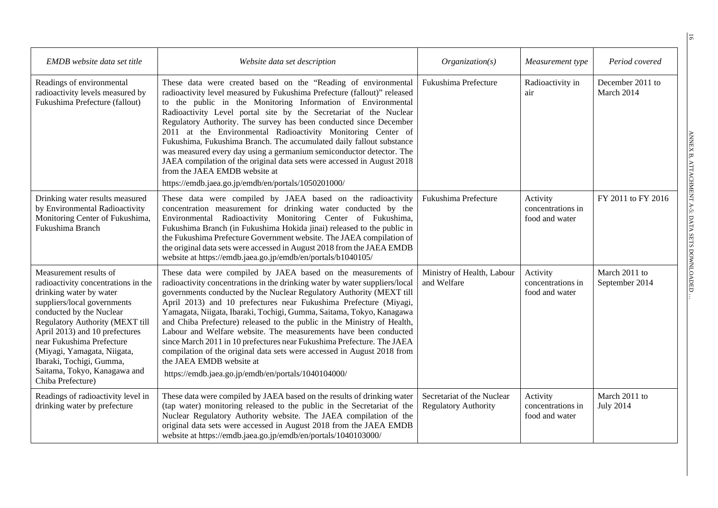| EMDB website data set title                                                                                                                                                                                                                                                                                                                                                  | Website data set description                                                                                                                                                                                                                                                                                                                                                                                                                                                                                                                                                                                                                                                                                                                             | Organization(s)                                           | Measurement type                                | Period covered                    |
|------------------------------------------------------------------------------------------------------------------------------------------------------------------------------------------------------------------------------------------------------------------------------------------------------------------------------------------------------------------------------|----------------------------------------------------------------------------------------------------------------------------------------------------------------------------------------------------------------------------------------------------------------------------------------------------------------------------------------------------------------------------------------------------------------------------------------------------------------------------------------------------------------------------------------------------------------------------------------------------------------------------------------------------------------------------------------------------------------------------------------------------------|-----------------------------------------------------------|-------------------------------------------------|-----------------------------------|
| Readings of environmental<br>radioactivity levels measured by<br>Fukushima Prefecture (fallout)                                                                                                                                                                                                                                                                              | These data were created based on the "Reading of environmental<br>radioactivity level measured by Fukushima Prefecture (fallout)" released<br>to the public in the Monitoring Information of Environmental<br>Radioactivity Level portal site by the Secretariat of the Nuclear<br>Regulatory Authority. The survey has been conducted since December<br>2011 at the Environmental Radioactivity Monitoring Center of<br>Fukushima, Fukushima Branch. The accumulated daily fallout substance<br>was measured every day using a germanium semiconductor detector. The<br>JAEA compilation of the original data sets were accessed in August 2018<br>from the JAEA EMDB website at<br>https://emdb.jaea.go.jp/emdb/en/portals/1050201000/                 | Fukushima Prefecture                                      | Radioactivity in<br>air                         | December 2011 to<br>March 2014    |
| Drinking water results measured<br>by Environmental Radioactivity<br>Monitoring Center of Fukushima,<br>Fukushima Branch                                                                                                                                                                                                                                                     | These data were compiled by JAEA based on the radioactivity<br>concentration measurement for drinking water conducted by the<br>Environmental Radioactivity Monitoring Center of Fukushima,<br>Fukushima Branch (in Fukushima Hokida jinai) released to the public in<br>the Fukushima Prefecture Government website. The JAEA compilation of<br>the original data sets were accessed in August 2018 from the JAEA EMDB<br>website at https://emdb.jaea.go.jp/emdb/en/portals/b1040105/                                                                                                                                                                                                                                                                  | Fukushima Prefecture                                      | Activity<br>concentrations in<br>food and water | FY 2011 to FY 2016                |
| Measurement results of<br>radioactivity concentrations in the<br>drinking water by water<br>suppliers/local governments<br>conducted by the Nuclear<br><b>Regulatory Authority (MEXT till</b><br>April 2013) and 10 prefectures<br>near Fukushima Prefecture<br>(Miyagi, Yamagata, Niigata,<br>Ibaraki, Tochigi, Gumma,<br>Saitama, Tokyo, Kanagawa and<br>Chiba Prefecture) | These data were compiled by JAEA based on the measurements of<br>radioactivity concentrations in the drinking water by water suppliers/local<br>governments conducted by the Nuclear Regulatory Authority (MEXT till<br>April 2013) and 10 prefectures near Fukushima Prefecture (Miyagi,<br>Yamagata, Niigata, Ibaraki, Tochigi, Gumma, Saitama, Tokyo, Kanagawa<br>and Chiba Prefecture) released to the public in the Ministry of Health,<br>Labour and Welfare website. The measurements have been conducted<br>since March 2011 in 10 prefectures near Fukushima Prefecture. The JAEA<br>compilation of the original data sets were accessed in August 2018 from<br>the JAEA EMDB website at<br>https://emdb.jaea.go.jp/emdb/en/portals/1040104000/ | Ministry of Health, Labour<br>and Welfare                 | Activity<br>concentrations in<br>food and water | March 2011 to<br>September 2014   |
| Readings of radioactivity level in<br>drinking water by prefecture                                                                                                                                                                                                                                                                                                           | These data were compiled by JAEA based on the results of drinking water<br>(tap water) monitoring released to the public in the Secretariat of the<br>Nuclear Regulatory Authority website. The JAEA compilation of the<br>original data sets were accessed in August 2018 from the JAEA EMDB<br>website at https://emdb.jaea.go.jp/emdb/en/portals/1040103000/                                                                                                                                                                                                                                                                                                                                                                                          | Secretariat of the Nuclear<br><b>Regulatory Authority</b> | Activity<br>concentrations in<br>food and water | March 2011 to<br><b>July 2014</b> |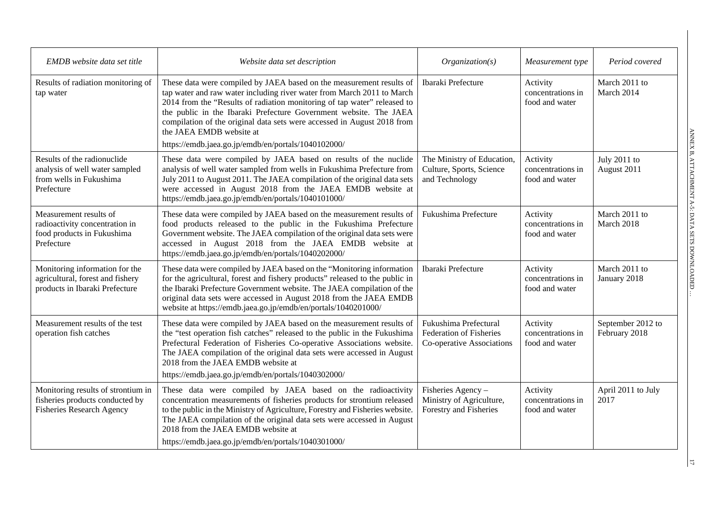| EMDB website data set title                                                                               | Website data set description                                                                                                                                                                                                                                                                                                                                                                                                                                  | Organization(s)                                                                      | Measurement type                                | Period covered                     |
|-----------------------------------------------------------------------------------------------------------|---------------------------------------------------------------------------------------------------------------------------------------------------------------------------------------------------------------------------------------------------------------------------------------------------------------------------------------------------------------------------------------------------------------------------------------------------------------|--------------------------------------------------------------------------------------|-------------------------------------------------|------------------------------------|
| Results of radiation monitoring of<br>tap water                                                           | These data were compiled by JAEA based on the measurement results of<br>tap water and raw water including river water from March 2011 to March<br>2014 from the "Results of radiation monitoring of tap water" released to<br>the public in the Ibaraki Prefecture Government website. The JAEA<br>compilation of the original data sets were accessed in August 2018 from<br>the JAEA EMDB website at<br>https://emdb.jaea.go.jp/emdb/en/portals/1040102000/ | Ibaraki Prefecture                                                                   | Activity<br>concentrations in<br>food and water | March 2011 to<br>March 2014        |
| Results of the radionuclide<br>analysis of well water sampled<br>from wells in Fukushima<br>Prefecture    | These data were compiled by JAEA based on results of the nuclide<br>analysis of well water sampled from wells in Fukushima Prefecture from<br>July 2011 to August 2011. The JAEA compilation of the original data sets<br>were accessed in August 2018 from the JAEA EMDB website at<br>https://emdb.jaea.go.jp/emdb/en/portals/1040101000/                                                                                                                   | The Ministry of Education,<br>Culture, Sports, Science<br>and Technology             | Activity<br>concentrations in<br>food and water | July 2011 to<br>August 2011        |
| Measurement results of<br>radioactivity concentration in<br>food products in Fukushima<br>Prefecture      | These data were compiled by JAEA based on the measurement results of<br>food products released to the public in the Fukushima Prefecture<br>Government website. The JAEA compilation of the original data sets were<br>accessed in August 2018 from the JAEA EMDB website at<br>https://emdb.jaea.go.jp/emdb/en/portals/1040202000/                                                                                                                           | Fukushima Prefecture                                                                 | Activity<br>concentrations in<br>food and water | March 2011 to<br>March 2018        |
| Monitoring information for the<br>agricultural, forest and fishery<br>products in Ibaraki Prefecture      | These data were compiled by JAEA based on the "Monitoring information<br>for the agricultural, forest and fishery products" released to the public in<br>the Ibaraki Prefecture Government website. The JAEA compilation of the<br>original data sets were accessed in August 2018 from the JAEA EMDB<br>website at https://emdb.jaea.go.jp/emdb/en/portals/1040201000/                                                                                       | Ibaraki Prefecture                                                                   | Activity<br>concentrations in<br>food and water | March 2011 to<br>January 2018      |
| Measurement results of the test<br>operation fish catches                                                 | These data were compiled by JAEA based on the measurement results of<br>the "test operation fish catches" released to the public in the Fukushima<br>Prefectural Federation of Fisheries Co-operative Associations website.<br>The JAEA compilation of the original data sets were accessed in August<br>2018 from the JAEA EMDB website at<br>https://emdb.jaea.go.jp/emdb/en/portals/1040302000/                                                            | Fukushima Prefectural<br><b>Federation of Fisheries</b><br>Co-operative Associations | Activity<br>concentrations in<br>food and water | September 2012 to<br>February 2018 |
| Monitoring results of strontium in<br>fisheries products conducted by<br><b>Fisheries Research Agency</b> | These data were compiled by JAEA based on the radioactivity<br>concentration measurements of fisheries products for strontium released<br>to the public in the Ministry of Agriculture, Forestry and Fisheries website.<br>The JAEA compilation of the original data sets were accessed in August<br>2018 from the JAEA EMDB website at<br>https://emdb.jaea.go.jp/emdb/en/portals/1040301000/                                                                | Fisheries Agency -<br>Ministry of Agriculture,<br>Forestry and Fisheries             | Activity<br>concentrations in<br>food and water | April 2011 to July<br>2017         |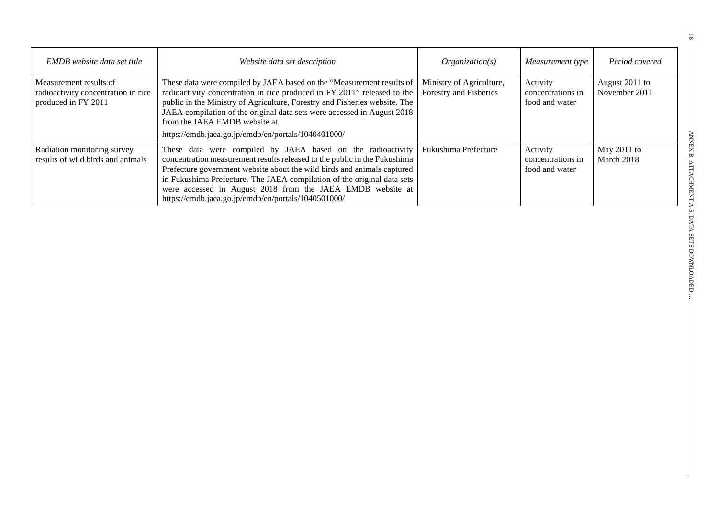| <b>EMDB</b> website data set title                                                   | Website data set description                                                                                                                                                                                                                                                                                                                                                                                        | Organization(s)                                    | Measurement type                                | Period covered                  |
|--------------------------------------------------------------------------------------|---------------------------------------------------------------------------------------------------------------------------------------------------------------------------------------------------------------------------------------------------------------------------------------------------------------------------------------------------------------------------------------------------------------------|----------------------------------------------------|-------------------------------------------------|---------------------------------|
| Measurement results of<br>radioactivity concentration in rice<br>produced in FY 2011 | These data were compiled by JAEA based on the "Measurement results of<br>radioactivity concentration in rice produced in FY 2011" released to the<br>public in the Ministry of Agriculture, Forestry and Fisheries website. The<br>JAEA compilation of the original data sets were accessed in August 2018<br>from the JAEA EMDB website at<br>https://emdb.jaea.go.jp/emdb/en/portals/1040401000/                  | Ministry of Agriculture,<br>Forestry and Fisheries | Activity<br>concentrations in<br>food and water | August 2011 to<br>November 2011 |
| Radiation monitoring survey<br>results of wild birds and animals                     | These data were compiled by JAEA based on the radioactivity<br>concentration measurement results released to the public in the Fukushima<br>Prefecture government website about the wild birds and animals captured<br>in Fukushima Prefecture. The JAEA compilation of the original data sets<br>were accessed in August 2018 from the JAEA EMDB website at<br>https://emdb.jaea.go.jp/emdb/en/portals/1040501000/ | Fukushima Prefecture                               | Activity<br>concentrations in<br>food and water | May 2011 to<br>March 2018       |